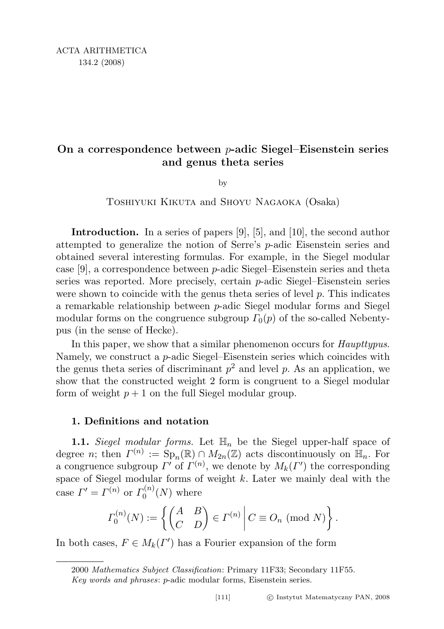# On a correspondence between p-adic Siegel–Eisenstein series and genus theta series

by

Toshiyuki Kikuta and Shoyu Nagaoka (Osaka)

Introduction. In a series of papers [9], [5], and [10], the second author attempted to generalize the notion of Serre's p-adic Eisenstein series and obtained several interesting formulas. For example, in the Siegel modular case [9], a correspondence between p-adic Siegel–Eisenstein series and theta series was reported. More precisely, certain p-adic Siegel–Eisenstein series were shown to coincide with the genus theta series of level p. This indicates a remarkable relationship between p-adic Siegel modular forms and Siegel modular forms on the congruence subgroup  $\Gamma_0(p)$  of the so-called Nebentypus (in the sense of Hecke).

In this paper, we show that a similar phenomenon occurs for *Haupttypus*. Namely, we construct a  $p$ -adic Siegel–Eisenstein series which coincides with the genus theta series of discriminant  $p^2$  and level p. As an application, we show that the constructed weight 2 form is congruent to a Siegel modular form of weight  $p + 1$  on the full Siegel modular group.

## 1. Definitions and notation

**1.1.** Siegel modular forms. Let  $\mathbb{H}_n$  be the Siegel upper-half space of degree *n*; then  $\Gamma^{(n)} := \text{Sp}_n(\mathbb{R}) \cap M_{2n}(\mathbb{Z})$  acts discontinuously on  $\mathbb{H}_n$ . For a congruence subgroup  $\Gamma'$  of  $\Gamma^{(n)}$ , we denote by  $M_k(\Gamma')$  the corresponding space of Siegel modular forms of weight  $k$ . Later we mainly deal with the case  $\Gamma' = \Gamma^{(n)}$  or  $\Gamma_0^{(n)}$  $\binom{N(N)}{N}$  where

$$
\Gamma_0^{(n)}(N) := \left\{ \begin{pmatrix} A & B \\ C & D \end{pmatrix} \in \Gamma^{(n)} \, \middle| \, C \equiv O_n \pmod{N} \right\}.
$$

In both cases,  $F \in M_k(\Gamma')$  has a Fourier expansion of the form

<sup>2000</sup> Mathematics Subject Classification: Primary 11F33; Secondary 11F55.

Key words and phrases: p-adic modular forms, Eisenstein series.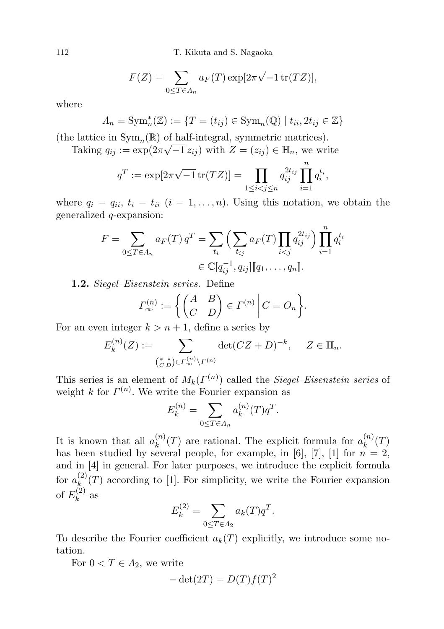112 T. Kikuta and S. Nagaoka

$$
F(Z) = \sum_{0 \le T \in \Lambda_n} a_F(T) \exp[2\pi\sqrt{-1} \operatorname{tr}(TZ)],
$$

where

$$
\Lambda_n = \operatorname{Sym}_n^*(\mathbb{Z}) := \{ T = (t_{ij}) \in \operatorname{Sym}_n(\mathbb{Q}) \mid t_{ii}, 2t_{ij} \in \mathbb{Z} \}
$$

(the lattice in  $\text{Sym}_n(\mathbb{R})$  of half-integral, symmetric matrices).

Taking  $q_{ij} := \exp(2\pi\sqrt{-1} z_{ij})$  with  $Z = (z_{ij}) \in \mathbb{H}_n$ , we write

$$
q^T := \exp[2\pi\sqrt{-1} \operatorname{tr}(TZ)] = \prod_{1 \le i < j \le n} q_{ij}^{2t_{ij}} \prod_{i=1}^n q_i^{t_i},
$$

where  $q_i = q_{ii}, t_i = t_{ii}$   $(i = 1, \ldots, n)$ . Using this notation, we obtain the generalized q-expansion:

$$
F = \sum_{0 \le T \in \Lambda_n} a_F(T) q^T = \sum_{t_i} \left( \sum_{t_{ij}} a_F(T) \prod_{i < j} q_{ij}^{2t_{ij}} \right) \prod_{i=1}^n q_i^{t_i}
$$
  

$$
\in \mathbb{C}[q_{ij}^{-1}, q_{ij}][q_1, \dots, q_n].
$$

1.2. Siegel–Eisenstein series. Define

$$
\Gamma_{\infty}^{(n)} := \left\{ \begin{pmatrix} A & B \\ C & D \end{pmatrix} \in \Gamma^{(n)} \middle| C = O_n \right\}.
$$

For an even integer  $k > n + 1$ , define a series by

$$
E_k^{(n)}(Z) := \sum_{\substack{z \in \mathbb{R}^n \\ (z, z) \in \mathbb{R}^n \\ z \to \infty}} \det(CZ + D)^{-k}, \quad Z \in \mathbb{H}_n.
$$

This series is an element of  $M_k(\Gamma^{(n)})$  called the *Siegel–Eisenstein series* of weight k for  $\Gamma^{(n)}$ . We write the Fourier expansion as

$$
E_k^{(n)} = \sum_{0 \le T \in \Lambda_n} a_k^{(n)}(T) q^T.
$$

It is known that all  $a_k^{(n)}$  $\binom{n}{k}(T)$  are rational. The explicit formula for  $a_k^{(n)}$  $\binom{n}{k}(T)$ has been studied by several people, for example, in [6], [7], [1] for  $n = 2$ , and in [4] in general. For later purposes, we introduce the explicit formula for  $a_k^{(2)}$  $\binom{z}{k}(T)$  according to [1]. For simplicity, we write the Fourier expansion of  $E_k^{(2)}$  $k^{(2)}$  as

$$
E_k^{(2)} = \sum_{0 \le T \in A_2} a_k(T) q^T.
$$

To describe the Fourier coefficient  $a_k(T)$  explicitly, we introduce some notation.

For  $0 < T \in A_2$ , we write

$$
-\det(2T) = D(T)f(T)^2
$$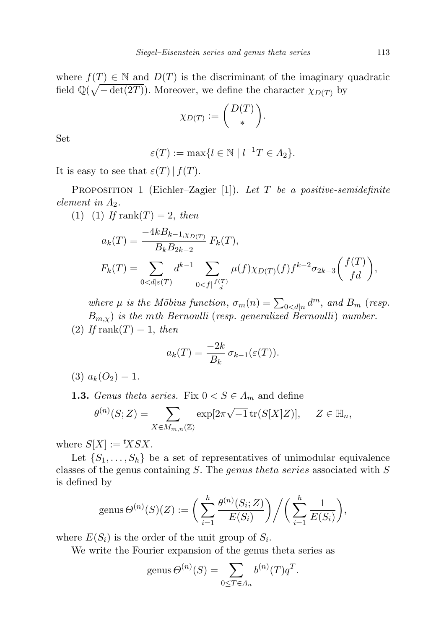where  $f(T) \in \mathbb{N}$  and  $D(T)$  is the discriminant of the imaginary quadratic field  $\mathbb{Q}(\sqrt{-\det(2T)})$ . Moreover, we define the character  $\chi_{D(T)}$  by

$$
\chi_{D(T)} := \left(\frac{D(T)}{r}\right).
$$

Set

$$
\varepsilon(T) := \max\{l \in \mathbb{N} \mid l^{-1}T \in \Lambda_2\}.
$$

It is easy to see that  $\varepsilon(T) | f(T)$ .

**PROPOSITION 1** (Eichler–Zagier [1]). Let T be a positive-semidefinite element in  $\Lambda_2$ .

(1) (1) If rank(T) = 2, then  
\n
$$
a_k(T) = \frac{-4kB_{k-1,XD(T)}}{B_kB_{2k-2}} F_k(T),
$$
\n
$$
F_k(T) = \sum_{0 < d \mid \varepsilon(T)} d^{k-1} \sum_{0 < f \mid \frac{f(T)}{d}} \mu(f) \chi_{D(T)}(f) f^{k-2} \sigma_{2k-3} \left( \frac{f(T)}{fd} \right),
$$

where  $\mu$  is the Möbius function,  $\sigma_m(n) = \sum_{0 < d|n} d^m$ , and  $B_m$  (resp.  $B_{m,\chi}$ ) is the mth Bernoulli (resp. generalized Bernoulli) number. (2) If rank(T) = 1, then

$$
a_k(T) = \frac{-2k}{B_k} \sigma_{k-1}(\varepsilon(T)).
$$

(3)  $a_k(O_2) = 1$ .

**1.3.** Genus theta series. Fix  $0 \lt S \in \Lambda_m$  and define

$$
\theta^{(n)}(S;Z) = \sum_{X \in M_{m,n}(\mathbb{Z})} \exp[2\pi\sqrt{-1} \operatorname{tr}(S[X]Z)], \quad Z \in \mathbb{H}_n,
$$

where  $S[X] := {}^{t}X S X$ .

Let  $\{S_1, \ldots, S_h\}$  be a set of representatives of unimodular equivalence classes of the genus containing S. The genus theta series associated with S is defined by

$$
genus \Theta^{(n)}(S)(Z) := \bigg(\sum_{i=1}^h \frac{\theta^{(n)}(S_i; Z)}{E(S_i)}\bigg) \bigg/ \bigg(\sum_{i=1}^h \frac{1}{E(S_i)}\bigg),
$$

where  $E(S_i)$  is the order of the unit group of  $S_i$ .

We write the Fourier expansion of the genus theta series as

$$
genus \Theta^{(n)}(S) = \sum_{0 \le T \in \Lambda_n} b^{(n)}(T) q^T.
$$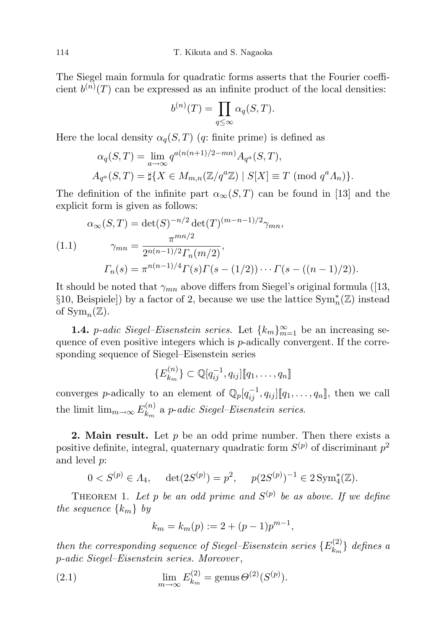The Siegel main formula for quadratic forms asserts that the Fourier coefficient  $b^{(n)}(T)$  can be expressed as an infinite product of the local densities:

$$
b^{(n)}(T) = \prod_{q \leq \infty} \alpha_q(S, T).
$$

Here the local density  $\alpha_q(S,T)$  (q: finite prime) is defined as

$$
\alpha_q(S, T) = \lim_{a \to \infty} q^{a(n(n+1)/2 - mn)} A_{q^a}(S, T),
$$
  
\n
$$
A_{q^a}(S, T) = \sharp \{ X \in M_{m,n}(\mathbb{Z}/q^a \mathbb{Z}) \mid S[X] \equiv T \pmod{q^a \Lambda_n} \}.
$$

The definition of the infinite part  $\alpha_{\infty}(S,T)$  can be found in [13] and the explicit form is given as follows:

$$
\alpha_{\infty}(S,T) = \det(S)^{-n/2} \det(T)^{(m-n-1)/2} \gamma_{mn},
$$
  
(1.1) 
$$
\gamma_{mn} = \frac{\pi^{mn/2}}{2^{n(n-1)/2} \Gamma_n(m/2)},
$$

$$
\Gamma_n(s) = \pi^{n(n-1)/4} \Gamma(s) \Gamma(s - (1/2)) \cdots \Gamma(s - ((n-1)/2)).
$$

It should be noted that  $\gamma_{mn}$  above differs from Siegel's original formula ([13, §10, Beispiele]) by a factor of 2, because we use the lattice  $\text{Sym}_{n}^{*}(\mathbb{Z})$  instead of  $\text{Sym}_n(\mathbb{Z})$ .

**1.4.** *p*-adic Siegel–Eisenstein series. Let  $\{k_m\}_{m=1}^{\infty}$  be an increasing sequence of even positive integers which is  $p$ -adically convergent. If the corresponding sequence of Siegel–Eisenstein series

$$
\{E_{k_m}^{(n)}\}\subset \mathbb{Q}[q_{ij}^{-1},q_{ij}]\llbracket q_1,\ldots,q_n\rrbracket
$$

converges p-adically to an element of  $\mathbb{Q}_p[q_{ij}^{-1}, q_{ij}][q_1, \ldots, q_n]$ , then we call the limit  $\lim_{m\to\infty} E_{k_m}^{(n)}$  $\binom{n}{k_m}$  a p-adic Siegel–Eisenstein series.

**2. Main result.** Let  $p$  be an odd prime number. Then there exists a positive definite, integral, quaternary quadratic form  $S^{(p)}$  of discriminant  $p^2$ and level p:

$$
0 < S^{(p)} \in \Lambda_4, \quad \det(2S^{(p)}) = p^2, \quad p(2S^{(p)})^{-1} \in 2\operatorname{Sym}_4^*(\mathbb{Z}).
$$

THEOREM 1. Let p be an odd prime and  $S^{(p)}$  be as above. If we define the sequence  $\{k_m\}$  by

$$
k_m = k_m(p) := 2 + (p-1)p^{m-1},
$$

then the corresponding sequence of Siegel–Eisenstein series  $\{E_k^{(2)}\}$  $\{e^{(2)}_{k_m}\}\$  defines a p-adic Siegel–Eisenstein series. Moreover ,

(2.1) 
$$
\lim_{m \to \infty} E_{k_m}^{(2)} = \text{genus } \Theta^{(2)}(S^{(p)}).
$$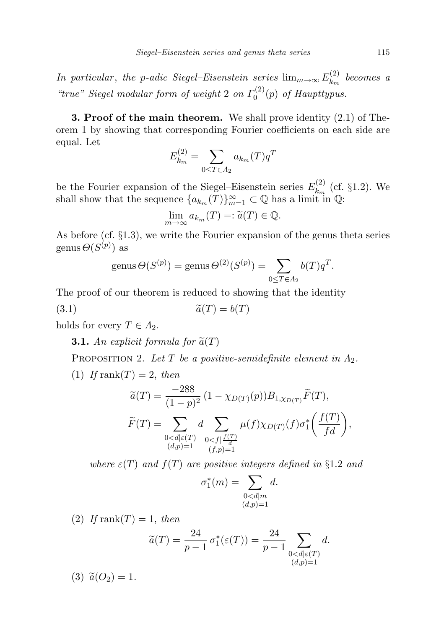In particular, the p-adic Siegel–Eisenstein series  $\lim_{m\to\infty} E_{k_m}^{(2)}$  $k_m^{(2)}$  becomes a "true" Siegel modular form of weight 2 on  $\Gamma_0^{(2)}$  $\int_0^{(2)}(p)$  of Haupttypus.

**3. Proof of the main theorem.** We shall prove identity  $(2.1)$  of Theorem 1 by showing that corresponding Fourier coefficients on each side are equal. Let

$$
E_{k_m}^{(2)} = \sum_{0 \le T \in A_2} a_{k_m}(T) q^T
$$

be the Fourier expansion of the Siegel–Eisenstein series  $E_{k_m}^{(2)}$  $\kappa_{k_m}^{(2)}$  (cf. §1.2). We shall show that the sequence  ${a_{k_m}(T)}_{m=1}^{\infty} \subset \mathbb{Q}$  has a limit in  $\mathbb{Q}$ :

$$
\lim_{m \to \infty} a_{k_m}(T) =: \tilde{a}(T) \in \mathbb{Q}.
$$

As before (cf. §1.3), we write the Fourier expansion of the genus theta series genus  $\Theta(S^{(p)})$  as

$$
genus \Theta(S^{(p)}) = genus \Theta^{(2)}(S^{(p)}) = \sum_{0 \leq T \in \Lambda_2} b(T)q^T.
$$

The proof of our theorem is reduced to showing that the identity

$$
\widetilde{a}(T) = b(T)
$$

holds for every  $T \in A_2$ .

**3.1.** An explicit formula for  $\tilde{a}(T)$ 

PROPOSITION 2. Let T be a positive-semidefinite element in  $\Lambda_2$ .

(1) If rank $(T) = 2$ , then

$$
\widetilde{a}(T) = \frac{-288}{(1-p)^2} (1 - \chi_{D(T)}(p)) B_{1, \chi_{D(T)}} \widetilde{F}(T),
$$
  

$$
\widetilde{F}(T) = \sum_{\substack{0 < d \mid \varepsilon(T) \\ (d,p) = 1}} d \sum_{\substack{0 < f \mid \frac{f(T)}{d} \\ (f,p) = 1}} \mu(f) \chi_{D(T)}(f) \sigma_1^* \left( \frac{f(T)}{fd} \right),
$$

where  $\varepsilon(T)$  and  $f(T)$  are positive integers defined in §1.2 and

$$
\sigma_1^*(m) = \sum_{\substack{0 < d \mid m \\ (d,p)=1}} d.
$$

(2) If rank(T) = 1, then

$$
\widetilde{a}(T) = \frac{24}{p-1} \sigma_1^*(\varepsilon(T)) = \frac{24}{p-1} \sum_{\substack{0 < d \mid \varepsilon(T) \\ (d,p)=1}} d.
$$

(3)  $\tilde{a}(O_2) = 1$ .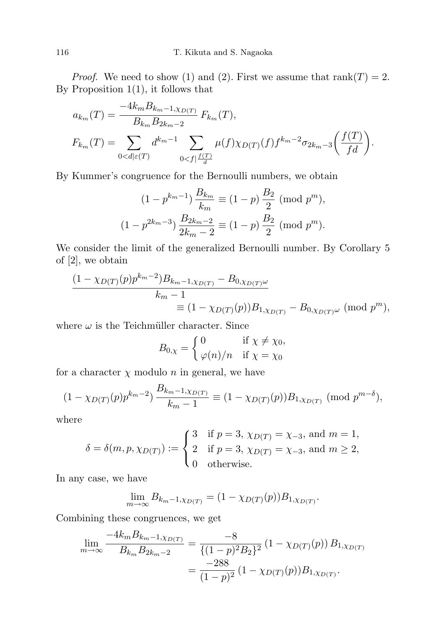*Proof.* We need to show (1) and (2). First we assume that  $rank(T) = 2$ . By Proposition  $1(1)$ , it follows that

$$
a_{k_m}(T) = \frac{-4k_m B_{k_m-1, \chi_D(T)}}{B_{k_m} B_{2k_m-2}} F_{k_m}(T),
$$
  

$$
F_{k_m}(T) = \sum_{0 < d \mid \varepsilon(T)} d^{k_m-1} \sum_{0 < f \mid \frac{f(T)}{d}} \mu(f) \chi_D(T) (f) f^{k_m-2} \sigma_{2k_m-3} \left( \frac{f(T)}{fd} \right).
$$

By Kummer's congruence for the Bernoulli numbers, we obtain

$$
(1 - p^{k_m - 1}) \frac{B_{k_m}}{k_m} \equiv (1 - p) \frac{B_2}{2} \pmod{p^m},
$$
  

$$
(1 - p^{2k_m - 3}) \frac{B_{2k_m - 2}}{2k_m - 2} \equiv (1 - p) \frac{B_2}{2} \pmod{p^m}.
$$

We consider the limit of the generalized Bernoulli number. By Corollary 5 of [2], we obtain

$$
\frac{(1 - \chi_{D(T)}(p)p^{k_m - 2})B_{k_m - 1, \chi_{D(T)}} - B_{0, \chi_{D(T)}\omega}}{k_m - 1}
$$
  
=  $(1 - \chi_{D(T)}(p))B_{1, \chi_{D(T)}} - B_{0, \chi_{D(T)}\omega}$  (mod  $p^m$ ),

where  $\omega$  is the Teichmüller character. Since

$$
B_{0,\chi} = \begin{cases} 0 & \text{if } \chi \neq \chi_0, \\ \varphi(n)/n & \text{if } \chi = \chi_0 \end{cases}
$$

for a character  $\chi$  modulo n in general, we have

$$
(1 - \chi_{D(T)}(p)p^{k_m - 2}) \frac{B_{k_m - 1, \chi_{D(T)}}}{k_m - 1} \equiv (1 - \chi_{D(T)}(p)) B_{1, \chi_{D(T)}} \pmod{p^{m - \delta}},
$$

where

$$
\delta = \delta(m, p, \chi_{D(T)}) := \begin{cases} 3 & \text{if } p = 3, \chi_{D(T)} = \chi_{-3}, \text{ and } m = 1, \\ 2 & \text{if } p = 3, \chi_{D(T)} = \chi_{-3}, \text{ and } m \ge 2, \\ 0 & \text{otherwise.} \end{cases}
$$

In any case, we have

$$
\lim_{m \to \infty} B_{k_m - 1, \chi_{D(T)}} = (1 - \chi_{D(T)}(p)) B_{1, \chi_{D(T)}}.
$$

Combining these congruences, we get

$$
\lim_{m \to \infty} \frac{-4k_m B_{k_m - 1, \chi_{D(T)}}}{B_{k_m} B_{2k_m - 2}} = \frac{-8}{\{(1 - p)^2 B_2\}^2} (1 - \chi_{D(T)}(p)) B_{1, \chi_{D(T)}} \n= \frac{-288}{(1 - p)^2} (1 - \chi_{D(T)}(p)) B_{1, \chi_{D(T)}}.
$$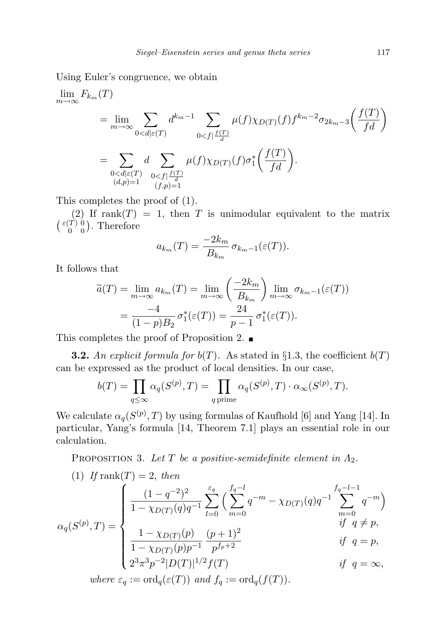Using Euler's congruence, we obtain

$$
\lim_{m \to \infty} F_{k_m}(T)
$$
\n
$$
= \lim_{m \to \infty} \sum_{0 < d \mid \varepsilon(T)} d^{k_m - 1} \sum_{0 < f \mid \frac{f(T)}{d}} \mu(f) \chi_{D(T)}(f) f^{k_m - 2} \sigma_{2k_m - 3} \left( \frac{f(T)}{fd} \right)
$$
\n
$$
= \sum_{\substack{0 < d \mid \varepsilon(T) \\ (d, p) = 1}} d \sum_{\substack{0 < f \mid \frac{f(T)}{d} \\ (f, p) = 1}} \mu(f) \chi_{D(T)}(f) \sigma_1^* \left( \frac{f(T)}{fd} \right).
$$

This completes the proof of (1).

(2) If rank $(T) = 1$ , then T is unimodular equivalent to the matrix  $\left(\begin{smallmatrix} \varepsilon(T) & 0 \\ 0 & 0 \end{smallmatrix}\right)$  $\binom{T}{0}$ , Therefore

$$
a_{k_m}(T) = \frac{-2k_m}{B_{k_m}} \sigma_{k_m-1}(\varepsilon(T)).
$$

It follows that

$$
\widetilde{a}(T) = \lim_{m \to \infty} a_{k_m}(T) = \lim_{m \to \infty} \left( \frac{-2k_m}{B_{k_m}} \right) \lim_{m \to \infty} \sigma_{k_m-1}(\varepsilon(T))
$$

$$
= \frac{-4}{(1-p)B_2} \sigma_1^*(\varepsilon(T)) = \frac{24}{p-1} \sigma_1^*(\varepsilon(T)).
$$

This completes the proof of Proposition 2.  $\blacksquare$ 

**3.2.** An explicit formula for  $b(T)$ . As stated in §1.3, the coefficient  $b(T)$ can be expressed as the product of local densities. In our case,

$$
b(T) = \prod_{q \leq \infty} \alpha_q(S^{(p)}, T) = \prod_{q \text{ prime}} \alpha_q(S^{(p)}, T) \cdot \alpha_\infty(S^{(p)}, T).
$$

We calculate  $\alpha_q(S^{(p)},T)$  by using formulas of Kaufhold [6] and Yang [14]. In particular, Yang's formula [14, Theorem 7.1] plays an essential role in our calculation.

PROPOSITION 3. Let T be a positive-semidefinite element in  $\Lambda_2$ .

(1) If rank
$$
(T)
$$
 = 2, then  
\n
$$
\alpha_q(S^{(p)}, T) = \begin{cases}\n\frac{(1 - q^{-2})^2}{1 - \chi_{D(T)}(q)q^{-1}} \sum_{l=0}^{\varepsilon_q} \left( \sum_{m=0}^{f_q - l} q^{-m} - \chi_{D(T)}(q)q^{-1} \sum_{m=0}^{f_q - l - 1} q^{-m} \right) \\
\frac{1 - \chi_{D(T)}(p)}{1 - \chi_{D(T)}(p)p^{-1}} \frac{(p + 1)^2}{p^{f_p + 2}} & \text{if } q = p, \\
\frac{2^3 \pi^3 p^{-2} |D(T)|^{1/2} f(T)}{1 - \chi_{D(T)}(p)p^{-1}} & \text{if } q = \infty, \\
\text{where } \varepsilon_q := \text{ord}_q(\varepsilon(T)) \text{ and } f_q := \text{ord}_q(f(T)).\n\end{cases}
$$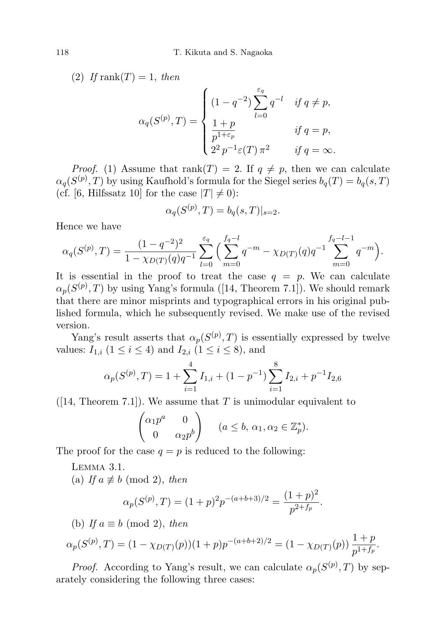(2) If rank(T) = 1, then

$$
\alpha_q(S^{(p)}, T) = \begin{cases}\n(1-q^{-2}) \sum_{l=0}^{\varepsilon_q} q^{-l} & \text{if } q \neq p, \\
\frac{1+p}{p^{1+\varepsilon_p}} & \text{if } q = p, \\
2^2 p^{-1} \varepsilon(T) \pi^2 & \text{if } q = \infty.\n\end{cases}
$$

*Proof.* (1) Assume that rank $(T) = 2$ . If  $q \neq p$ , then we can calculate  $\alpha_q(S^{(p)},T)$  by using Kaufhold's formula for the Siegel series  $b_q(T) = b_q(s,T)$ (cf. [6, Hilfssatz 10] for the case  $|T| \neq 0$ ):

$$
\alpha_q(S^{(p)}, T) = b_q(s, T)|_{s=2}.
$$

Hence we have

$$
\alpha_q(S^{(p)},T) = \frac{(1-q^{-2})^2}{1-\chi_{D(T)}(q)q^{-1}} \sum_{l=0}^{\varepsilon_q} \Big( \sum_{m=0}^{f_q-l} q^{-m} - \chi_{D(T)}(q)q^{-1} \sum_{m=0}^{f_q-l-1} q^{-m} \Big).
$$

It is essential in the proof to treat the case  $q = p$ . We can calculate  $\alpha_p(S^{(p)},T)$  by using Yang's formula ([14, Theorem 7.1]). We should remark that there are minor misprints and typographical errors in his original published formula, which he subsequently revised. We make use of the revised version.

Yang's result asserts that  $\alpha_p(S^{(p)},T)$  is essentially expressed by twelve values:  $I_{1,i}$  ( $1 \le i \le 4$ ) and  $I_{2,i}$  ( $1 \le i \le 8$ ), and

$$
\alpha_p(S^{(p)}, T) = 1 + \sum_{i=1}^4 I_{1,i} + (1 - p^{-1}) \sum_{i=1}^8 I_{2,i} + p^{-1} I_{2,6}
$$

 $([14, Theorem 7.1])$ . We assume that T is unimodular equivalent to

$$
\begin{pmatrix} \alpha_1 p^a & 0\\ 0 & \alpha_2 p^b \end{pmatrix} \quad (a \le b, \, \alpha_1, \alpha_2 \in \mathbb{Z}_p^*).
$$

The proof for the case  $q = p$  is reduced to the following:

Lemma 3.1.

(a) If  $a \not\equiv b \pmod{2}$ , then

$$
\alpha_p(S^{(p)}, T) = (1+p)^2 p^{-(a+b+3)/2} = \frac{(1+p)^2}{p^{2+f_p}}.
$$

(b) If  $a \equiv b \pmod{2}$ , then

$$
\alpha_p(S^{(p)}, T) = (1 - \chi_{D(T)}(p))(1+p)p^{-(a+b+2)/2} = (1 - \chi_{D(T)}(p))\frac{1+p}{p^{1+f_p}}.
$$

*Proof.* According to Yang's result, we can calculate  $\alpha_p(S^{(p)}, T)$  by separately considering the following three cases: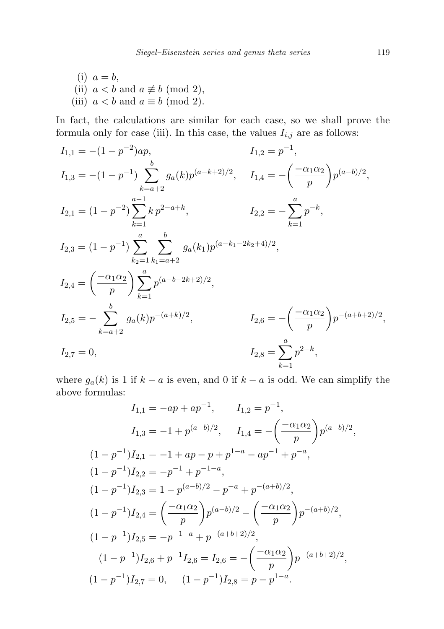(i)  $a = b$ , (ii)  $a < b$  and  $a \not\equiv b \pmod{2}$ , (iii)  $a < b$  and  $a \equiv b \pmod{2}$ .

In fact, the calculations are similar for each case, so we shall prove the formula only for case (iii). In this case, the values  $I_{i,j}$  are as follows:

$$
I_{1,1} = -(1 - p^{-2})ap,
$$
  
\n
$$
I_{1,2} = p^{-1},
$$
  
\n
$$
I_{1,3} = -(1 - p^{-1}) \sum_{k=a+2}^{b} g_a(k)p^{(a-k+2)/2},
$$
  
\n
$$
I_{1,4} = -\left(\frac{-\alpha_1 \alpha_2}{p}\right)p^{(a-b)/2},
$$
  
\n
$$
I_{2,1} = (1 - p^{-2}) \sum_{k=1}^{a-1} k p^{2-a+k},
$$
  
\n
$$
I_{2,2} = -\sum_{k=1}^{a} p^{-k},
$$
  
\n
$$
I_{2,3} = (1 - p^{-1}) \sum_{k_2=1}^{a} \sum_{k_1=a+2}^{b} g_a(k_1)p^{(a-k_1-2k_2+4)/2},
$$
  
\n
$$
I_{2,4} = \left(\frac{-\alpha_1 \alpha_2}{p}\right) \sum_{k=1}^{a} p^{(a-b-2k+2)/2},
$$
  
\n
$$
I_{2,5} = -\sum_{k=a+2}^{b} g_a(k)p^{-(a+k)/2},
$$
  
\n
$$
I_{2,6} = -\left(\frac{-\alpha_1 \alpha_2}{p}\right)p^{-(a+b+2)/2},
$$
  
\n
$$
I_{2,7} = 0,
$$
  
\n
$$
I_{2,8} = \sum_{k=1}^{a} p^{2-k},
$$

where  $g_a(k)$  is 1 if  $k - a$  is even, and 0 if  $k - a$  is odd. We can simplify the above formulas:

$$
I_{1,1} = -ap + ap^{-1}, \t I_{1,2} = p^{-1},
$$
  
\n
$$
I_{1,3} = -1 + p^{(a-b)/2}, \t I_{1,4} = -\left(\frac{-\alpha_1 \alpha_2}{p}\right) p^{(a-b)/2},
$$
  
\n
$$
(1-p^{-1})I_{2,1} = -1 + ap - p + p^{1-a} - ap^{-1} + p^{-a},
$$
  
\n
$$
(1-p^{-1})I_{2,2} = -p^{-1} + p^{-1-a},
$$
  
\n
$$
(1-p^{-1})I_{2,3} = 1 - p^{(a-b)/2} - p^{-a} + p^{-(a+b)/2},
$$
  
\n
$$
(1-p^{-1})I_{2,4} = \left(\frac{-\alpha_1 \alpha_2}{p}\right) p^{(a-b)/2} - \left(\frac{-\alpha_1 \alpha_2}{p}\right) p^{-(a+b)/2},
$$
  
\n
$$
(1-p^{-1})I_{2,5} = -p^{-1-a} + p^{-(a+b+2)/2},
$$
  
\n
$$
(1-p^{-1})I_{2,6} + p^{-1}I_{2,6} = I_{2,6} = -\left(\frac{-\alpha_1 \alpha_2}{p}\right) p^{-(a+b+2)/2},
$$
  
\n
$$
(1-p^{-1})I_{2,7} = 0, \t (1-p^{-1})I_{2,8} = p - p^{1-a}.
$$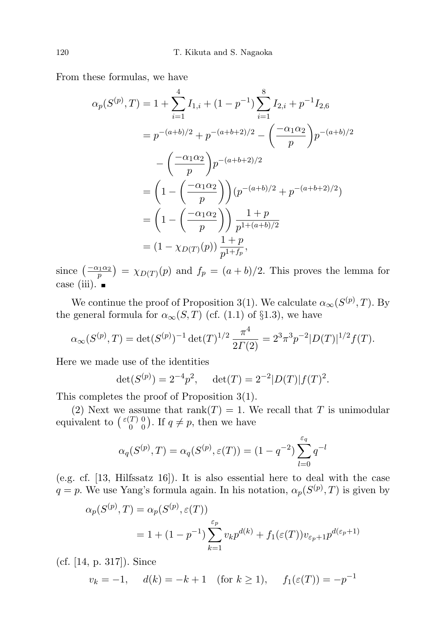From these formulas, we have

$$
\alpha_p(S^{(p)}, T) = 1 + \sum_{i=1}^4 I_{1,i} + (1 - p^{-1}) \sum_{i=1}^8 I_{2,i} + p^{-1} I_{2,6}
$$
  
=  $p^{-(a+b)/2} + p^{-(a+b+2)/2} - \left(\frac{-\alpha_1 \alpha_2}{p}\right) p^{-(a+b)/2}$   

$$
- \left(\frac{-\alpha_1 \alpha_2}{p}\right) p^{-(a+b+2)/2}
$$
  
=  $\left(1 - \left(\frac{-\alpha_1 \alpha_2}{p}\right)\right) (p^{-(a+b)/2} + p^{-(a+b+2)/2})$   
=  $\left(1 - \left(\frac{-\alpha_1 \alpha_2}{p}\right)\right) \frac{1+p}{p^{1+(a+b)/2}}$   
=  $(1 - \chi_{D(T)}(p)) \frac{1+p}{p^{1+f_p}},$ 

since  $\left(\frac{-\alpha_1\alpha_2}{p}\right) = \chi_{D(T)}(p)$  and  $f_p = (a+b)/2$ . This proves the lemma for case (iii).  $\blacksquare$ 

We continue the proof of Proposition 3(1). We calculate  $\alpha_{\infty}(S^{(p)},T)$ . By the general formula for  $\alpha_{\infty}(S,T)$  (cf. (1.1) of §1.3), we have

$$
\alpha_{\infty}(S^{(p)},T) = \det(S^{(p)})^{-1} \det(T)^{1/2} \frac{\pi^4}{2\Gamma(2)} = 2^3 \pi^3 p^{-2} |D(T)|^{1/2} f(T).
$$

Here we made use of the identities

$$
\det(S^{(p)}) = 2^{-4}p^2, \quad \det(T) = 2^{-2}|D(T)|f(T)^2.
$$

This completes the proof of Proposition 3(1).

(2) Next we assume that rank $(T) = 1$ . We recall that T is unimodular equivalent to  $\binom{\varepsilon(T)}{0}$  $\binom{T}{0}$ ,  $\binom{0}{0}$ . If  $q \neq p$ , then we have

$$
\alpha_q(S^{(p)}, T) = \alpha_q(S^{(p)}, \varepsilon(T)) = (1 - q^{-2}) \sum_{l=0}^{\varepsilon_q} q^{-l}
$$

(e.g. cf. [13, Hilfssatz 16]). It is also essential here to deal with the case  $q = p$ . We use Yang's formula again. In his notation,  $\alpha_p(S^{(p)}, T)$  is given by

$$
\alpha_p(S^{(p)}, T) = \alpha_p(S^{(p)}, \varepsilon(T))
$$
  
= 1 + (1 - p<sup>-1</sup>)  $\sum_{k=1}^{\varepsilon_p} v_k p^{d(k)} + f_1(\varepsilon(T)) v_{\varepsilon_p + 1} p^{d(\varepsilon_p + 1)}$ 

(cf. [14, p. 317]). Since

$$
v_k = -1
$$
,  $d(k) = -k + 1$  (for  $k \ge 1$ ),  $f_1(\varepsilon(T)) = -p^{-1}$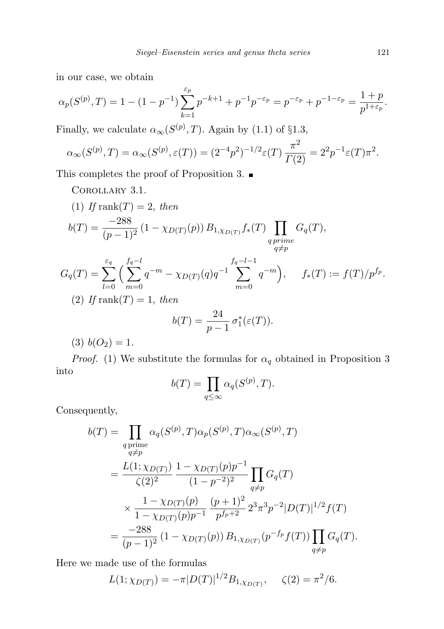in our case, we obtain

$$
\alpha_p(S^{(p)}, T) = 1 - (1 - p^{-1}) \sum_{k=1}^{\varepsilon_p} p^{-k+1} + p^{-1} p^{-\varepsilon_p} = p^{-\varepsilon_p} + p^{-1-\varepsilon_p} = \frac{1+p}{p^{1+\varepsilon_p}}.
$$

Finally, we calculate  $\alpha_{\infty}(S^{(p)},T)$ . Again by (1.1) of §1.3,

$$
\alpha_{\infty}(S^{(p)},T) = \alpha_{\infty}(S^{(p)},\varepsilon(T)) = (2^{-4}p^2)^{-1/2}\varepsilon(T)\frac{\pi^2}{\Gamma(2)} = 2^2p^{-1}\varepsilon(T)\pi^2.
$$

This completes the proof of Proposition 3.  $\blacksquare$ 

Corollary 3.1.

(1) If rank(T) = 2, then  
\n
$$
b(T) = \frac{-288}{(p-1)^2} (1 - \chi_{D(T)}(p)) B_{1, \chi_{D(T)}} f_*(T) \prod_{\substack{q \text{ prime} \\ q \neq p}} G_q(T),
$$
\n
$$
G_q(T) = \sum_{l=0}^{\varepsilon_q} \left( \sum_{m=0}^{f_q - l} q^{-m} - \chi_{D(T)}(q) q^{-1} \sum_{m=0}^{f_q - l - 1} q^{-m} \right), \quad f_*(T) := f(T) / p^{f_p}.
$$
\n(2) If rank(T) = 1, then  
\n
$$
b(T) = \frac{24}{p-1} \sigma_1^*(\varepsilon(T)).
$$

$$
(3) b(O_2) = 1.
$$

*Proof.* (1) We substitute the formulas for  $\alpha_q$  obtained in Proposition 3 into

$$
b(T) = \prod_{q \le \infty} \alpha_q(S^{(p)}, T).
$$

Consequently,

$$
b(T) = \prod_{\substack{q \text{ prime} \\ q \neq p}} \alpha_q(S^{(p)}, T) \alpha_p(S^{(p)}, T) \alpha_\infty(S^{(p)}, T)
$$
  
= 
$$
\frac{L(1; \chi_{D(T)})}{\zeta(2)^2} \frac{1 - \chi_{D(T)}(p)p^{-1}}{(1 - p^{-2})^2} \prod_{q \neq p} G_q(T)
$$
  

$$
\times \frac{1 - \chi_{D(T)}(p)}{1 - \chi_{D(T)}(p)p^{-1}} \frac{(p+1)^2}{p^{f_p+2}} 2^3 \pi^3 p^{-2} |D(T)|^{1/2} f(T)
$$
  
= 
$$
\frac{-288}{(p-1)^2} (1 - \chi_{D(T)}(p)) B_{1, \chi_{D(T)}}(p^{-f_p} f(T)) \prod_{q \neq p} G_q(T).
$$

Here we made use of the formulas

$$
L(1; \chi_{D(T)}) = -\pi |D(T)|^{1/2} B_{1, \chi_{D(T)}}, \quad \zeta(2) = \pi^2/6.
$$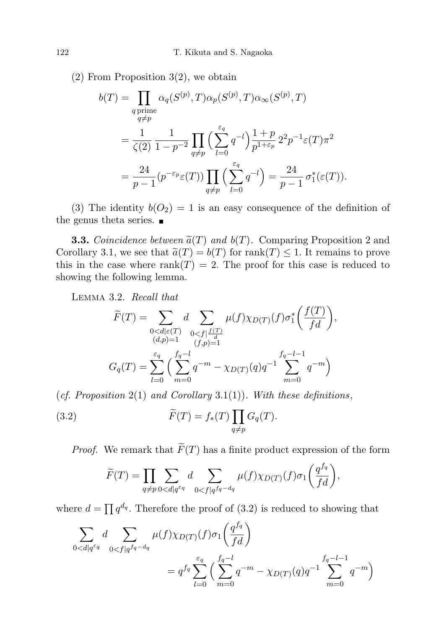(2) From Proposition 3(2), we obtain

$$
b(T) = \prod_{\substack{q \text{ prime} \\ q \neq p}} \alpha_q(S^{(p)}, T) \alpha_p(S^{(p)}, T) \alpha_\infty(S^{(p)}, T)
$$
  

$$
= \frac{1}{\zeta(2)} \frac{1}{1 - p^{-2}} \prod_{q \neq p} \left( \sum_{l=0}^{\varepsilon_q} q^{-l} \right) \frac{1 + p}{p^{1 + \varepsilon_p}} 2^2 p^{-1} \varepsilon(T) \pi^2
$$
  

$$
= \frac{24}{p - 1} (p^{-\varepsilon_p} \varepsilon(T)) \prod_{q \neq p} \left( \sum_{l=0}^{\varepsilon_q} q^{-l} \right) = \frac{24}{p - 1} \sigma_1^*(\varepsilon(T)).
$$

(3) The identity  $b(O_2) = 1$  is an easy consequence of the definition of the genus theta series.  $\blacksquare$ 

**3.3.** Coincidence between  $\tilde{a}(T)$  and  $b(T)$ . Comparing Proposition 2 and Corollary 3.1, we see that  $\tilde{a}(T) = b(T)$  for rank $(T) \leq 1$ . It remains to prove this in the case where  $rank(T) = 2$ . The proof for this case is reduced to showing the following lemma.

Lemma 3.2. Recall that

$$
\widetilde{F}(T) = \sum_{\substack{0 < d \mid \varepsilon(T) \\ (d,p)=1}} d \sum_{\substack{0 < f \mid \frac{f(T)}{d} \\ (f,p)=1}} \mu(f) \chi_{D(T)}(f) \sigma_1^* \left( \frac{f(T)}{fd} \right),
$$
\n
$$
G_q(T) = \sum_{l=0}^{\varepsilon_q} \left( \sum_{m=0}^{f_q - l} q^{-m} - \chi_{D(T)}(q) q^{-1} \sum_{m=0}^{f_q - l - 1} q^{-m} \right)
$$

(cf. Proposition 2(1) and Corollary 3.1(1)). With these definitions,

(3.2) 
$$
\widetilde{F}(T) = f_*(T) \prod_{q \neq p} G_q(T).
$$

*Proof.* We remark that  $\widetilde{F}(T)$  has a finite product expression of the form

 $\frac{1}{2}$ 

$$
\widetilde{F}(T) = \prod_{q \neq p} \sum_{0 < d \mid q^{\varepsilon q}} d \sum_{0 < f \mid q^{f_q - d_q}} \mu(f) \chi_{D(T)}(f) \sigma_1\left(\frac{q^{f_q}}{fd}\right),
$$

where  $d = \prod q^{d_q}$ . Therefore the proof of (3.2) is reduced to showing that

$$
\sum_{0 < d \mid q^{\varepsilon_q}} d \sum_{0 < f \mid q^{\varepsilon_q - d_q}} \mu(f) \chi_{D(T)}(f) \sigma_1\left(\frac{q^{f_q}}{fd}\right) = q^{f_q} \sum_{l=0}^{\varepsilon_q} \left(\sum_{m=0}^{f_q - l} q^{-m} - \chi_{D(T)}(q) q^{-1} \sum_{m=0}^{f_q - l - 1} q^{-m}\right)
$$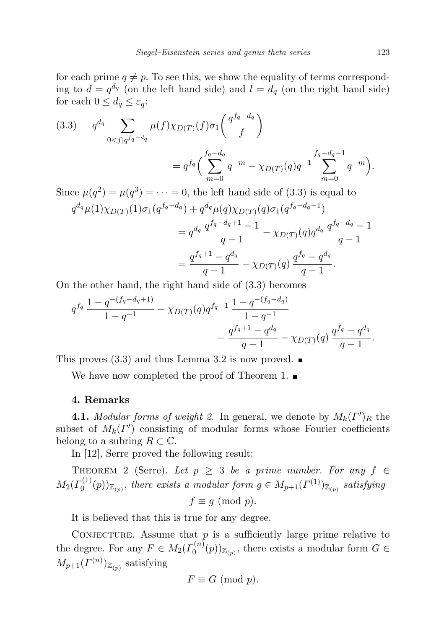for each prime  $q \neq p$ . To see this, we show the equality of terms corresponding to  $d = q^{d_q}$  (on the left hand side) and  $l = d_q$  (on the right hand side) for each  $0 \leq d_q \leq \varepsilon_q$ :

(3.3) 
$$
q^{d_q} \sum_{0 < f | q^{f_q - d_q}} \mu(f) \chi_{D(T)}(f) \sigma_1\left(\frac{q^{f_q - d_q}}{f}\right) = q^{f_q} \left(\sum_{m=0}^{f_q - d_q} q^{-m} - \chi_{D(T)}(q) q^{-1} \sum_{m=0}^{f_q - d_q - 1} q^{-m}\right).
$$

Since  $\mu(q^2) = \mu(q^3) = \cdots = 0$ , the left hand side of (3.3) is equal to  $q^{d_{q}}\mu(1)\chi_{D(T)}(1)\sigma_{1}(q^{f_{q}-d_{q}})+q^{d_{q}}\mu(q)\chi_{D(T)}(q)\sigma_{1}(q^{f_{q}-d_{q}-1})$  $=q^{d_q}\frac{q^{f_q-d_q+1}-1}{1}$  $\frac{d_q+1}{q-1}-\chi_{D(T)}(q)q^{d_q}\,\frac{q^{f_q-d_q}-1}{q-1}$  $q-1$  $=\frac{q^{f_q+1}-q^{d_q}}{1}$  $\frac{q^{d_q}-q^{d_q}}{q-1}-\chi_{D(T)}(q)\,\frac{q^{f_q}-q^{d_q}}{q-1}$  $\frac{q}{q-1}$ .

On the other hand, the right hand side of (3.3) becomes

$$
q^{f_q} \frac{1 - q^{-(f_q - d_q + 1)}}{1 - q^{-1}} - \chi_{D(T)}(q) q^{f_q - 1} \frac{1 - q^{-(f_q - d_q)}}{1 - q^{-1}} = \frac{q^{f_q + 1} - q^{d_q}}{q - 1} - \chi_{D(T)}(q) \frac{q^{f_q} - q^{d_q}}{q - 1}.
$$

This proves  $(3.3)$  and thus Lemma 3.2 is now proved.

We have now completed the proof of Theorem 1.

#### 4. Remarks

**4.1.** Modular forms of weight 2. In general, we denote by  $M_k(\Gamma')_R$  the subset of  $M_k(\Gamma')$  consisting of modular forms whose Fourier coefficients belong to a subring  $R \subset \mathbb{C}$ .

In [12], Serre proved the following result:

THEOREM 2 (Serre). Let  $p \geq 3$  be a prime number. For any  $f \in$  $M_2(\varGamma_0^{(1)}$  $\mathcal{O}_0^{(1)}(p))_{\mathbb{Z}_{(p)}},$  there exists a modular form  $g \in M_{p+1}(\Gamma^{(1)})_{\mathbb{Z}_{(p)}}$  satisfying  $f \equiv q \pmod{p}$ .

It is believed that this is true for any degree.

CONJECTURE. Assume that  $p$  is a sufficiently large prime relative to the degree. For any  $F \in M_2(\Gamma_0^{(n)})$  $(0^{(n)}(p))_{\mathbb{Z}_{(p)}},$  there exists a modular form  $G \in$  $M_{p+1}(\Gamma^{(n)})_{\mathbb{Z}_{(p)}}$  satisfying

$$
F \equiv G \pmod{p}.
$$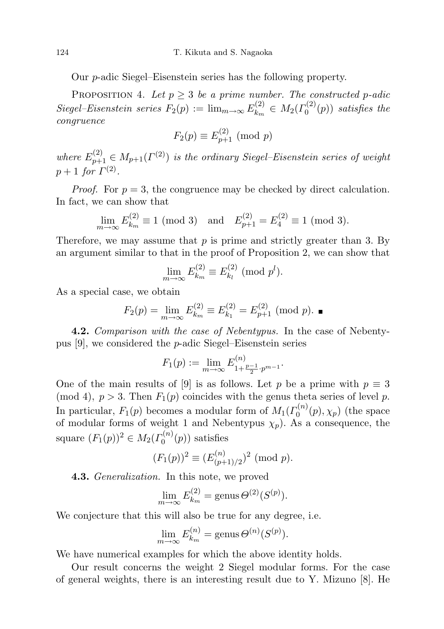Our p-adic Siegel–Eisenstein series has the following property.

PROPOSITION 4. Let  $p \geq 3$  be a prime number. The constructed p-adic Siegel–Eisenstein series  $F_2(p) := \lim_{m \to \infty} E_{k_m}^{(2)}$  $\mathcal{M}_k^{(2)} \in M_2(\Gamma_0^{(2)})$  $C_0^{(2)}(p)$  satisfies the congruence

$$
F_2(p) \equiv E_{p+1}^{(2)} \pmod{p}
$$

where  $E_{p+1}^{(2)} \in M_{p+1}(\Gamma^{(2)})$  is the ordinary Siegel-Eisenstein series of weight  $p+1$  for  $\Gamma^{(2)}$ .

*Proof.* For  $p = 3$ , the congruence may be checked by direct calculation. In fact, we can show that

$$
\lim_{m \to \infty} E_{k_m}^{(2)} \equiv 1 \pmod{3} \text{ and } E_{p+1}^{(2)} = E_4^{(2)} \equiv 1 \pmod{3}.
$$

Therefore, we may assume that  $p$  is prime and strictly greater than 3. By an argument similar to that in the proof of Proposition 2, we can show that

$$
\lim_{m \to \infty} E_{k_m}^{(2)} \equiv E_{k_l}^{(2)} \pmod{p^l}.
$$

As a special case, we obtain

$$
F_2(p) = \lim_{m \to \infty} E_{k_m}^{(2)} \equiv E_{k_1}^{(2)} = E_{p+1}^{(2)} \pmod{p}.
$$

**4.2.** Comparison with the case of Nebentypus. In the case of Nebentypus [9], we considered the p-adic Siegel–Eisenstein series

$$
F_1(p) := \lim_{m \to \infty} E_{1 + \frac{p-1}{2} \cdot p^{m-1}}^{(n)}.
$$

One of the main results of [9] is as follows. Let p be a prime with  $p \equiv 3$ (mod 4),  $p > 3$ . Then  $F_1(p)$  coincides with the genus theta series of level p. In particular,  $F_1(p)$  becomes a modular form of  $M_1(\Gamma_0^{(n)})$  $\zeta_0^{(n)}(p), \chi_p)$  (the space of modular forms of weight 1 and Nebentypus  $\chi_p$ ). As a consequence, the square  $(F_1(p))^2 \in M_2(\Gamma_0^{(n)}$  $C_0^{(n)}(p)$  satisfies

$$
(F_1(p))^2 \equiv (E_{(p+1)/2}^{(n)})^2 \pmod{p}.
$$

**4.3.** Generalization. In this note, we proved

$$
\lim_{m \to \infty} E_{k_m}^{(2)} = \text{genus}\,\Theta^{(2)}(S^{(p)}).
$$

We conjecture that this will also be true for any degree, i.e.

$$
\lim_{m \to \infty} E_{k_m}^{(n)} = \text{genus}\,\Theta^{(n)}(S^{(p)}).
$$

We have numerical examples for which the above identity holds.

Our result concerns the weight 2 Siegel modular forms. For the case of general weights, there is an interesting result due to Y. Mizuno [8]. He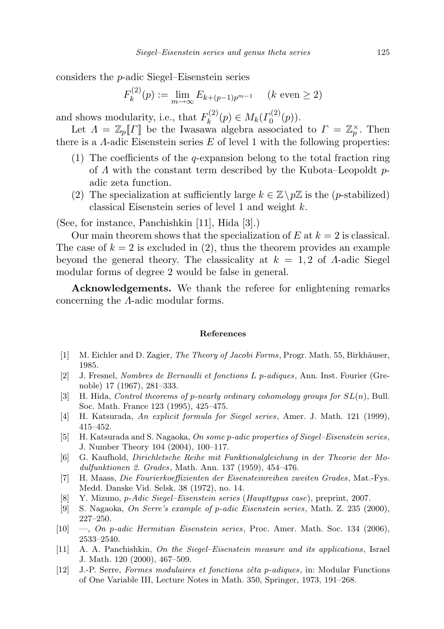considers the p-adic Siegel–Eisenstein series

$$
F_k^{(2)}(p) := \lim_{m \to \infty} E_{k+(p-1)p^{m-1}} \quad (k \text{ even } \ge 2)
$$

and shows modularity, i.e., that  $F_k^{(2)}$  $N_k^{(2)}(p) \in M_k(\Gamma_0^{(2)})$  ${\mathfrak{a}}_0^{\lambda}(p)$ ).

Let  $\Lambda = \mathbb{Z}_p[\![\Gamma]\!]$  be the Iwasawa algebra associated to  $\Gamma = \mathbb{Z}_p^{\times}$ . Then there is a  $\Lambda$ -adic Eisenstein series E of level 1 with the following properties:

- (1) The coefficients of the *q*-expansion belong to the total fraction ring of  $\Lambda$  with the constant term described by the Kubota–Leopoldt  $p$ adic zeta function.
- (2) The specialization at sufficiently large  $k \in \mathbb{Z} \backslash p\mathbb{Z}$  is the (p-stabilized) classical Eisenstein series of level 1 and weight k.

(See, for instance, Panchishkin [11], Hida [3].)

Our main theorem shows that the specialization of  $E$  at  $k = 2$  is classical. The case of  $k = 2$  is excluded in (2), thus the theorem provides an example beyond the general theory. The classicality at  $k = 1, 2$  of A-adic Siegel modular forms of degree 2 would be false in general.

Acknowledgements. We thank the referee for enlightening remarks concerning the Λ-adic modular forms.

#### References

- [1] M. Eichler and D. Zagier, *The Theory of Jacobi Forms*, Progr. Math. 55, Birkhäuser, 1985.
- [2] J. Fresnel, Nombres de Bernoulli et fonctions L p-adiques, Ann. Inst. Fourier (Grenoble) 17 (1967), 281–333.
- [3] H. Hida, Control theorems of p-nearly ordinary cohomology groups for  $SL(n)$ , Bull. Soc. Math. France 123 (1995), 425–475.
- [4] H. Katsurada, An explicit formula for Siegel series, Amer. J. Math. 121 (1999), 415–452.
- [5] H. Katsurada and S. Nagaoka, On some p-adic properties of Siegel–Eisenstein series, J. Number Theory 104 (2004), 100–117.
- [6] G. Kaufhold, Dirichletsche Reihe mit Funktionalgleichung in der Theorie der Modulfunktionen 2. Grades, Math. Ann. 137 (1959), 454–476.
- [7] H. Maass, Die Fourierkoeffizienten der Eisensteinreihen zweiten Grades , Mat.-Fys. Medd. Danske Vid. Selsk. 38 (1972), no. 14.
- [8] Y. Mizuno, p-Adic Siegel–Eisenstein series (Haupttypus case), preprint, 2007.
- [9] S. Nagaoka, On Serre's example of p-adic Eisenstein series, Math. Z. 235 (2000), 227–250.
- $[10] \quad -$ , On p-adic Hermitian Eisenstein series, Proc. Amer. Math. Soc. 134 (2006), 2533–2540.
- [11] A. A. Panchishkin, On the Siegel–Eisenstein measure and its applications, Israel J. Math. 120 (2000), 467–509.
- [12] J.-P. Serre, Formes modulaires et fonctions zêta p-adiques, in: Modular Functions of One Variable III, Lecture Notes in Math. 350, Springer, 1973, 191–268.